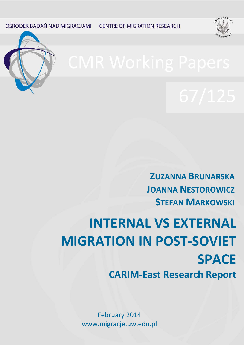OŚRODEK BADAŃ NAD MIGRACJAMI **CENTRE OF MIGRATION RESEARCH** 





**ZUZANNA BRUNARSKA JOANNA NESTOROWICZ STEFAN MARKOWSKI** 

**INTERNAL VS EXTERNAL MIGRATION IN POST-SOVIET SPACE CARIM-East Research Report**

> 1 www.migracje.uw.edu.plFebruary 2014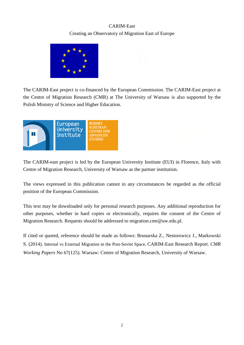# CARIM-East Creating an Observatory of Migration East of Europe



The CARIM-East project is co-financed by the European Commission. The CARIM-East project at the Centre of Migration Research (CMR) at The University of Warsaw is also supported by the Polish Ministry of Science and Higher Education.



The CARIM-east project is led by the European University Institute (EUI) in Florence, Italy with Centre of Migration Research, University of Warsaw as the partner institution.

The views expressed in this publication cannot in any circumstances be regarded as the official position of the European Commission.

This text may be downloaded only for personal research purposes. Any additional reproduction for other purposes, whether in hard copies or electronically, requires the consent of the Centre of Migration Research. Requests should be addressed to migration.cmr@uw.edu.pl.

If cited or quoted, reference should be made as follows: Brunarska Z., Nestorowicz J., Markowski S. (2014). Internal vs External Migration in the Post-Soviet Space, CARIM-East Research Report. *CMR Working Papers* No 67(125). Warsaw: Centre of Migration Research, University of Warsaw.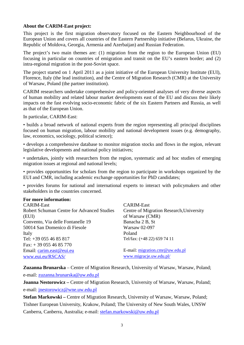## **About the CARIM-East project:**

This project is the first migration observatory focused on the Eastern Neighbourhood of the European Union and covers all countries of the Eastern Partnership initiative (Belarus, Ukraine, the Republic of Moldova, Georgia, Armenia and Azerbaijan) and Russian Federation.

The project's two main themes are: (1) migration from the region to the European Union (EU) focusing in particular on countries of emigration and transit on the EU's eastern border; and (2) intra-regional migration in the post-Soviet space.

The project started on 1 April 2011 as a joint initiative of the European University Institute (EUI), Florence, Italy (the lead institution), and the Centre of Migration Research (CMR) at the University of Warsaw, Poland (the partner institution).

CARIM researchers undertake comprehensive and policy-oriented analyses of very diverse aspects of human mobility and related labour market developments east of the EU and discuss their likely impacts on the fast evolving socio-economic fabric of the six Eastern Partners and Russia, as well as that of the European Union.

In particular, CARIM-East:

• builds a broad network of national experts from the region representing all principal disciplines focused on human migration, labour mobility and national development issues (e.g. demography, law, economics, sociology, political science);

• develops a comprehensive database to monitor migration stocks and flows in the region, relevant legislative developments and national policy initiatives;

• undertakes, jointly with researchers from the region, systematic and ad hoc studies of emerging migration issues at regional and national levels;

• provides opportunities for scholars from the region to participate in workshops organized by the EUI and CMR, including academic exchange opportunities for PhD candidates;

• provides forums for national and international experts to interact with policymakers and other stakeholders in the countries concerned.

## **For more information:**

| <b>CARIM-East</b>                                 | <b>CARIM-East</b>                        |
|---------------------------------------------------|------------------------------------------|
| <b>Robert Schuman Centre for Advanced Studies</b> | Centre of Migration Research, University |
| (EUI)                                             | of Warsaw (CMR)                          |
| Convento, Via delle Fontanelle 19                 | Banacha 2 B, St                          |
| 50014 San Domenico di Fiesole                     | Warsaw 02-097                            |
| Italy                                             | Poland                                   |
| Tel: +39 055 46 85 817                            | Tel/fax: (+48 22) 659 74 11              |
| Fax: $+390554685770$                              |                                          |
| Email: carim.east@eui.eu                          | E-mail: migration.cmr@uw.edu.pl          |
| www.eui.eu/RSCAS/                                 | www.migracje.uw.edu.pl/                  |

**Zuzanna Brunarska** – Centre of Migration Research, University of Warsaw, Warsaw, Poland; e-mail: [zuzanna.brunarska@uw.edu.pl](mailto:zuzanna.brunarska@uw.edu.pl)

**Joanna Nestorowicz** – Centre of Migration Research, University of Warsaw, Warsaw, Poland; e-mail: [jnestorowicz@wne.uw.edu.pl](mailto:jnestorowicz@wne.uw.edu.pl)

**Stefan Markowski –** Centre of Migration Research, University of Warsaw, Warsaw, Poland; Tishner European University, Krakow, Poland; The University of New South Wales, UNSW Canberra, Canberra, Australia; e-mail: [stefan.markowski@uw.edu.pl](mailto:stefan.markowski@uw.edu.pl)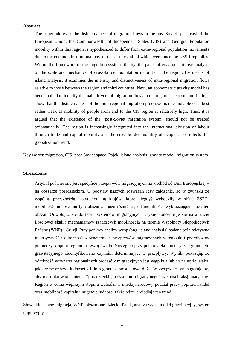#### **Abstract**

The paper addresses the distinctiveness of migration flows in the post-Soviet space east of the European Union: the Commonwealth of Independent States (CIS) and Georgia. Population mobility within this region is hypothesized to differ from extra-regional population movements due to the common institutional past of these states, all of which were once the USSR republics. Within the framework of the migration systems theory, the paper offers a quantitative analysis of the scale and mechanics of cross-border population mobility in the region. By means of island analysis, it examines the intensity and distinctiveness of intra-regional migration flows relative to those between the region and third countries. Next, an econometric gravity model has been applied to identify the main drivers of migration flows in the region. The resultant findings show that the distinctiveness of the intra-regional migration processes is questionable or at best rather weak as mobility of people from and to the CIS region is relatively high. Thus, it is argued that the existence of the 'post-Soviet migration system' should not be treated axiomatically. The region is increasingly integrated into the international division of labour through trade and capital mobility and the cross-border mobility of people also reflects this globalization trend.

Key words: migration, CIS, post-Soviet space, Pajek, island analysis, gravity model, migration system

#### **Streszczenie**

Artykuł poświęcony jest specyfice przepływów migracyjnych na wschód od Unii Europejskiej – na obszarze poradzieckim. U podstaw naszych rozważań leży założenie, że w związku ze wspólną przeszłością instytucjonalną krajów, które niegdyś wchodziły w skład ZSRR, mobilność ludności na tym obszarze może różnić się od mobilności wykraczającej poza ten obszar. Odwołując się do teorii systemów migracyjnych artykuł koncentruje się na analizie ilościowej skali i mechanizmów rządzących mobilnością na terenie Wspólnoty Niepodległych Państw (WNP) i Gruzji. Przy pomocy analizy wysp (ang. island analysis) badana była relatywna intensywność i odrębność wewnętrznych przepływów migracyjnych w regionie i przepływów pomiędzy krajami regionu a resztą świata. Następnie przy pomocy ekonometrycznego modelu grawitacyjnego zidentyfikowano czynniki determinujące te przepływy. Wyniki pokazują, że odrębność wewnątrz regionalnych procesów migracyjnych jest wątpliwa lub co najwyżej słaba, jako że przepływy ludności z i do regionu są stosunkowo duże. W związku z tym sugerujemy, aby nie traktować istnienia "poradzieckiego systemu migracyjnego" w sposób aksjomatyczny. Region w coraz większym stopniu wchodzi w międzynarodowy podział pracy poprzez handel oraz mobilność kapitału i migracje ludności także odzwierciedlają ten trend.

Słowa kluczowe: migracja, WNP, obszar poradziecki, Pajek, analiza wysp, model grawitacyjny, system migracyjny

4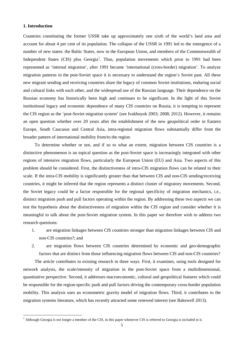### **1. Introduction**

Countries constituting the former USSR take up approximately one sixth of the world's land area and account for about 4 per cent of its population. The collapse of the USSR in 1991 led to the emergence of a number of new states: the Baltic States, now in the European Union, and members of the Commonwealth of Independent States (CIS) plus Georgia<sup>[1](#page-4-0)</sup>. Thus, population movements which prior to 1991 had been represented as 'internal migration', after 1991 became 'international (cross-border) migration'. To analyze migration patterns in the post-Soviet space it is necessary to understand the region's Soviet past. All these new migrant sending and receiving countries share the legacy of common Soviet institutions, enduring social and cultural links with each other, and the widespread use of the Russian language. Their dependence on the Russian economy has historically been high and continues to be significant. In the light of this Soviet institutional legacy and economic dependence of many CIS countries on Russia, it is tempting to represent the CIS region as the 'post-Soviet migration system' (see Ivakhnyuk 2003; 2008; 2012). However, it remains an open question whether over 20 years after the establishment of the new geopolitical order in Eastern Europe, South Caucasus and Central Asia, intra-regional migration flows substantially differ from the broader pattern of international mobility from/to the region.

To determine whether or not, and if so to what an extent, migration between CIS countries is a distinctive phenomenon is an topical question as the post-Soviet space is increasingly integrated with other regions of intensive migration flows, particularly the European Union (EU) and Asia. Two aspects of this problem should be considered. First, the distinctiveness of intra-CIS migration flows can be related to their scale. If the intra-CIS mobility is significantly greater than that between CIS and non-CIS sending/receiving countries, it might be inferred that the region represents a distinct cluster of migratory movements. Second, the Soviet legacy could be a factor responsible for the regional specificity of migration mechanics, i.e., distinct migration push and pull factors operating within the region. By addressing these two aspects we can test the hypothesis about the distinctiveness of migration within the CIS region and consider whether it is meaningful to talk about the post-Soviet migration system. In this paper we therefore wish to address two research questions:

- 1. are migration linkages between CIS countries stronger than migration linkages between CIS and non-CIS countries?; and
- 2. are migration flows between CIS countries determined by economic and geo-demographic factors that are distinct from those influencing migration flows between CIS and non-CIS countries?

The article contributes to existing research in three ways. First, it examines, using tools designed for network analysis, the scale/intensity of migration in the post-Soviet space from a multidimensional, quantitative perspective. Second, it addresses macroeconomic, cultural and geopolitical features which could be responsible for the region-specific push and pull factors driving the contemporary cross-border population mobility. This analysis uses an econometric gravity model of migration flows. Third, it contributes to the migration systems literature, which has recently attracted some renewed interest (see Bakewell 2013).

<span id="page-4-0"></span> $1$  Although Georgia is not longer a member of the CIS, in this paper whenever CIS is referred to Georgia is included in it.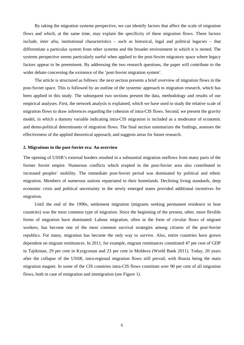By taking the migration systems perspective, we can identify factors that affect the scale of migration flows and which, at the same time, may explain the specificity of these migration flows. These factors include, *inter alia*, institutional characteristics – such as historical, legal and political legacies – that differentiate a particular system from other systems and the broader environment in which it is nested. The systems perspective seems particularly useful when applied to the post-Soviet migratory space where legacy factors appear to be preeminent. By addressing the two research questions, the paper will contribute to the wider debate concerning the existence of the 'post-Soviet migration system'.

The article is structured as follows: the next section presents a brief overview of migration flows in the post-Soviet space. This is followed by an outline of the systemic approach to migration research, which has been applied in this study. The subsequent two sections present the data, methodology and results of our empirical analyses. First, the network analysis is explained, which we have used to study the relative scale of migration flows to draw inferences regarding the cohesion of intra-CIS flows. Second, we present the gravity model, in which a dummy variable indicating intra-CIS migration is included as a moderator of economic and demo-political determinants of migration flows. The final section summarizes the findings, assesses the effectiveness of the applied theoretical approach, and suggests areas for future research.

#### **2. Migrations in the post-Soviet era: An overview**

The opening of USSR's external borders resulted in a substantial migration outflows from many parts of the former Soviet empire. Numerous conflicts which erupted in the post-Soviet area also contributed to increased peoples' mobility. The immediate post-Soviet period was dominated by political and ethnic migration. Members of numerous nations repatriated to their homelands. Declining living standards, deep economic crisis and political uncertainty in the newly emerged states provided additional incentives for migration.

Until the end of the 1990s, settlement migration (migrants seeking permanent residence in host countries) was the most common type of migration. Since the beginning of the present, other, more flexible forms of migration have dominated. Labour migration, often in the form of circular flows of migrant workers, has become one of the most common survival strategies among citizens of the post-Soviet republics. For many, migration has become the only way to survive. Also, entire countries have grown dependent on migrant remittances. In 2011, for example, migrant remittances constituted 47 per cent of GDP in Tajikistan, 29 per cent in Kyrgyzstan and 23 per cent in Moldova (World Bank 2011). Today, 20 years after the collapse of the USSR, intra-regional migration flows still prevail, with Russia being the main migration magnet. In some of the CIS countries intra-CIS flows constitute over 90 per cent of all migration flows, both in case of emigration and immigration (see Figure 1).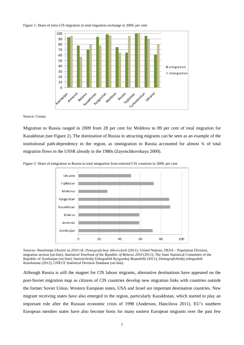#### Figure 1: Share of intra-CIS migration in total migration exchange in 2009, per cent



Source: Cisstat.

Migration to Russia ranged in 2009 from 28 per cent for Moldova to 89 per cent of total migration for Kazakhstan (see Figure 2). The domination of Russia in attracting migrants can be seen as an example of the institutional path-dependency in the region, as immigration to Russia accounted for almost ¾ of total migration flows in the USSR already in the 1980s (Zayonchkovskaya 2000).



Figure 2: Share of emigration to Russia in total emigration from selected CIS countries in 2009, per cent

Sources: *Naselennja Ukraїni za 2010 rіk. Demografіchnij shhorіchnik* (2011); United Nations, DESA – Population Division, migration section (on-line); *Statistical Yearbook of the Republic of Belarus 2010* (2011); The State Statistical Committee of the Republic of Azerbaijan (on-line); *Statisticheskij Ezhegodnik Kyrgyzskoj Respubliki* (2011); *Demograficheskij ezhegodnik Kazahstana* (2012); UNECE Statistical Division Database (on-line).

Although Russia is still the magnet for CIS labour migrants, alternative destinations have appeared on the post-Soviet migration map as citizens of CIS countries develop new migration links with countries outside the former Soviet Union. Western European states, USA and Israel are important destination countries. New migrant receiving states have also emerged in the region, particularly Kazakhstan, which started to play an important role after the Russian economic crisis of 1998 (Anderson, Hancilova 2011). EU's southern European member states have also become hosts for many eastern European migrants over the past few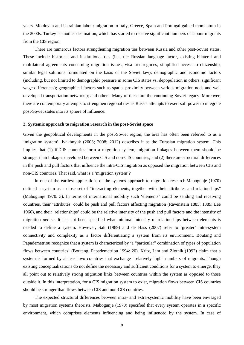years. Moldovan and Ukrainian labour migration to Italy, Greece, Spain and Portugal gained momentum in the 2000s. Turkey is another destination, which has started to receive significant numbers of labour migrants from the CIS region.

There are numerous factors strengthening migration ties between Russia and other post-Soviet states. These include historical and institutional ties (i.e., the Russian language factor, existing bilateral and multilateral agreements concerning migration issues, visa free-regimes, simplified access to citizenship, similar legal solutions formulated on the basis of the Soviet law); demographic and economic factors (including, but not limited to demographic pressure in some CIS states vs. depopulation in others, significant wage differences); geographical factors such as spatial proximity between various migration nods and well developed transportation networks); and others. Many of these are the continuing Soviet legacy. Moreover, there are contemporary attempts to strengthen regional ties as Russia attempts to exert soft power to integrate post-Soviet states into its sphere of influence.

#### **3. Systemic approach to migration research in the post-Soviet space**

Given the geopolitical developments in the post-Soviet region, the area has often been referred to as a 'migration system'. Ivakhnyuk (2003; 2008; 2012) describes it as the Eurasian migration system. This implies that (1) if CIS countries form a migration system, migration linkages between them should be stronger than linkages developed between CIS and non-CIS countries; and (2) there are structural differences in the push and pull factors that influence the intra-CIS migration as opposed the migration between CIS and non-CIS countries. That said, what is a 'migration system'?

In one of the earliest applications of the systems approach to migration research Mabogunje (1970) defined a system as a close set of "interacting elements, together with their attributes and relationships" (Mabogunje 1970: 3). In terms of international mobility such 'elements' could be sending and receiving countries, their 'attributes' could be push and pull factors affecting migration (Ravenstein 1885; 1889; Lee 1966), and their 'relationships' could be the relative intensity of the push and pull factors and the intensity of migration *per se*. It has not been specified what minimal intensity of relationships between elements is needed to define a system. However, Salt (1989) and de Hass (2007) refer to 'greater' intra-system connectivity and complexity as a factor differentiating a system from its environment. Boutang and Papademetriou recognize that a system is characterized by 'a "particular" combination of types of population flows between countries' (Boutang, Papademetriou 1994: 20). Kritz, Lim and Zlotnik (1992) claim that a system is formed by at least two countries that exchange "relatively high" numbers of migrants. Though existing conceptualizations do not define the necessary and sufficient conditions for a system to emerge, they all point out to relatively strong migration links between countries within the system as opposed to those outside it. In this interpretation, for a CIS migration system to exist, migration flows between CIS countries should be stronger than flows between CIS and non-CIS countries.

The expected structural differences between intra- and extra-systemic mobility have been envisaged by most migration systems theorists. Mabogunje (1970) specified that every system operates in a specific environment, which comprises elements influencing and being influenced by the system. In case of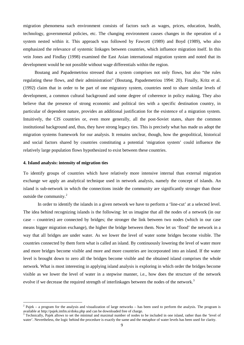migration phenomena such environment consists of factors such as wages, prices, education, health, technology, governmental policies, etc. The changing environment causes changes in the operation of a system nested within it. This approach was followed by Fawcett (1989) and Boyd (1989), who also emphasized the relevance of systemic linkages between countries, which influence migration itself. In this vein Jones and Findlay (1998) examined the East Asian international migration system and noted that its development would be not possible without wage differentials within the region.

Boutang and Papademetriou stressed that a system comprises not only flows, but also "the rules regulating these flows, and their administration" (Boutang, Papademetriou 1994: 20). Finally, Kritz et al. (1992) claim that in order to be part of one migratory system, countries need to share similar levels of development, a common cultural background and some degree of coherence in policy making. They also believe that the presence of strong economic and political ties with a specific destination country, in particular of dependent nature, provides an additional justification for the existence of a migration system. Intuitively, the CIS countries or, even more generally, all the post-Soviet states, share the common institutional background and, thus, they have strong legacy ties. This is precisely what has made us adopt the migration systems framework for our analysis. It remains unclear, though, how the geopolitical, historical and social factors shared by countries constituting a potential 'migration system' could influence the relatively large population flows hypothesized to exist between these countries.

#### **4. Island analysis: intensity of migration ties**

To identify groups of countries which have relatively more intensive internal than external migration exchange we apply an analytical technique used in network analysis, namely the concept of islands. An island is sub-network in which the connections inside the community are significantly stronger than those outside the community.<sup>[2](#page-8-0)</sup>

In order to identify the islands in a given network we have to perform a 'line-cut' at a selected level. The idea behind recognizing islands is the following: let us imagine that all the nodes of a network (in our case – countries) are connected by bridges; the stronger the link between two nodes (which in our case means bigger migration exchange), the higher the bridge between them. Now let us 'flood' the network in a way that all bridges are under water. As we lower the level of water some bridges become visible. The countries connected by them form what is called an island. By continuously lowering the level of water more and more bridges become visible and more and more countries are incorporated into an island. If the water level is brought down to zero all the bridges become visible and the obtained island comprises the whole network. What is most interesting in applying island analysis is exploring in which order the bridges become visible as we lower the level of water in a stepwise manner, i.e., how does the structure of the network evolve if we decrease the required strength of interlinkages between the nodes of the network.<sup>[3](#page-8-1)</sup>

<span id="page-8-0"></span><sup>&</sup>lt;sup>2</sup> Pajek – a program for the analysis and visualization of large networks – has been used to perform the analysis. The program is available at http://pajek.imfm.si/doku.php and can be downloaded free of charge.

<span id="page-8-1"></span>Technically, Pajek allows to set the minimal and maximal number of nodes to be included in one island, rather than the 'level of water'. Nevertheless, the logic behind the procedure is exactly the same and the metaphor of water levels has been used for clarity.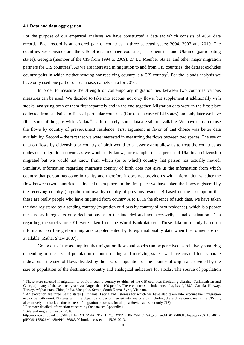#### **4.1 Data and data aggregation**

For the purpose of our empirical analyses we have constructed a data set which consists of 4050 data records. Each record is an ordered pair of countries in three selected years: 2004, 2007 and 2010. The countries we consider are the CIS official member countries, Turkmenistan and Ukraine (participating states), Georgia (member of the CIS from 1994 to 2009), 27 EU Member States, and other major migration partners for CIS countries<sup>[4](#page-9-0)</sup>. As we are interested in migration to and from CIS countries, the dataset excludes country pairs in which neither sending nor receiving country is a CIS country<sup>[5](#page-9-1)</sup>. For the islands analysis we have only used one part of our database, namely data for 2010.

In order to measure the strength of contemporary migration ties between two countries various measures can be used. We decided to take into account not only flows, but supplement it additionally with stocks, analyzing both of them first separately and in the end together. Migration data were in the first place collected from statistical offices of particular countries (Eurostat in case of EU states) and only later we have filled some of the gaps with UN data<sup>[6](#page-9-2)</sup>. Unfortunately, some data are still unavailable. We have chosen to use the flows by country of previous/next residence. First argument in favor of that choice was better data availability. Second – the fact that we were interested in measuring the flows between two spaces. The use of data on flows by citizenship or country of birth would to a lesser extent allow us to treat the countries as nodes of a migration network as we would only know, for example, that a person of Ukrainian citizenship migrated but we would not know from which (or to which) country that person has actually moved. Similarly, information regarding migrant's country of birth does not give us the information from which country that person has come in reality and therefore it does not provide us with information whether the flow between two countries has indeed taken place. In the first place we have taken the flows registered by the receiving country (migration inflows by country of previous residence) based on the assumption that these are really people who have migrated from country A to B. In the absence of such data, we have taken the data registered by a sending country (migration outflows by country of next residence), which is a poorer measure as it registers only declarations as to the intended and not necessarily actual destination. Data regarding the stocks for 2010 were taken from the World Bank dataset<sup>[7](#page-9-3)</sup>. Those data are mainly based on information on foreign-born migrants supplemented by foreign nationality data when the former are not available (Ratha, Shaw 2007).

Going out of the assumption that migration flows and stocks can be perceived as relatively small/big depending on the size of population of both sending and receiving states, we have created four separate indicators – the size of flows divided by the size of population of the country of origin and divided by the size of population of the destination country and analogical indicators for stocks. The source of population

<span id="page-9-0"></span> <sup>4</sup> These were selected if migration to or from such a country to either of the CIS countries (including Ukraine, Turkmenistan and Georgia) in any of the selected years was larger than 100 people. These countries include: Australia, Israel, USA, Canada, Norway, Turkey, Afghanistan, China, India, Mongolia, Serbia, South Korea, Syria, Vietnam.

<span id="page-9-1"></span><sup>5</sup> An exception are three Baltic states (Lithuania, Latvia and Estonia) for which we have also taken into account their migration exchange with non-CIS states with the objective to perform sensitivity analysis by including these three countries in the CIS (or, alternatively, to check distinctiveness of migration processes for all post-Soviet states not only CIS).<br><sup>6</sup> For more detailed information concerning the data see Appendix 1.<br><sup>7</sup> Bilateral migration matrix 2010,

<span id="page-9-2"></span>

<span id="page-9-3"></span>[http://econ.worldbank.org/WBSITE/EXTERNAL/EXTDEC/EXTDECPROSPECTS/0,,contentMDK:22803131~pagePK:64165401~](http://econ.worldbank.org/WBSITE/EXTERNAL/EXTDEC/EXTDECPROSPECTS/0,,contentMDK:22803131~pagePK:64165401~piPK:64165026~theSitePK:476883,00.html) [piPK:64165026~theSitePK:476883,00.html,](http://econ.worldbank.org/WBSITE/EXTERNAL/EXTDEC/EXTDECPROSPECTS/0,,contentMDK:22803131~pagePK:64165401~piPK:64165026~theSitePK:476883,00.html) accessed on 15.06.2013.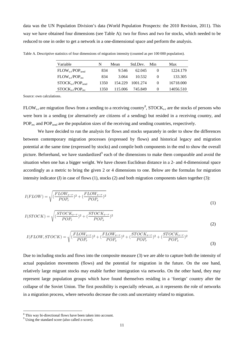data was the UN Population Division's data (World Population Prospects: the 2010 Revision, 2011). This way we have obtained four dimensions (see Table A): two for flows and two for stocks, which needed to be reduced to one in order to get a network in a one-dimensional space and perform the analysis.

| Variable                              | N    | Mean    | Std.Dev. | Min      | Max       |
|---------------------------------------|------|---------|----------|----------|-----------|
| $FLOW_{\text{ser}}/POP_{\text{send}}$ | 834  | 9.546   | 62.045   | $\theta$ | 1224.179  |
| $FLOW_{ser}/POP_{rec}$                | 834  | 3.064   | 10.532   | $\theta$ | 133.305   |
| $STOCKs-r/POPsend$                    | 1350 | 154.229 | 1001.274 | $\theta$ | 16718.000 |
| $STOCK_{s-r}/POP_{rec}$               | 1350 | 115.006 | 745.849  | $\theta$ | 14056.510 |

Table A. Descriptive statistics of four dimensions of migration intensity (counted as per 100 000 population).

Source: own calculations.

FLOW<sub>s-r</sub> are migration flows from a sending to a receiving country<sup>[8](#page-10-0)</sup>, STOCK<sub>s-r</sub> are the stocks of persons who were born in a sending (or alternatively are citizens of a sending) but resided in a receiving country, and POP<sub>rec</sub> and POP<sub>send</sub> are the population sizes of the receiving and sending countries, respectively.

We have decided to run the analysis for flows and stocks separately in order to show the differences between contemporary migration processes (expressed by flows) and historical legacy and migration potential at the same time (expressed by stocks) and compile both components in the end to show the overall picture. Beforehand, we have standardized<sup>[9](#page-10-1)</sup> each of the dimensions to make them comparable and avoid the situation when one has a bigger weight. We have chosen Euclidean distance in a 2- and 4-dimensional space accordingly as a metric to bring the given 2 or 4 dimensions to one. Below are the formulas for migration intensity indicator ( $I$ ) in case of flows (1), stocks (2) and both migration components taken together (3):

$$
I(FLOW) = \sqrt{\left(\frac{FLOW_{s-r}}{POP_r}\right)^2 + \left(\frac{FLOW_{s-r}}{POP_s}\right)^2}
$$
\n<sup>(1)</sup>

$$
I(STOCK) = \sqrt{\left(\frac{STOCK_{s-r}}{POP_r}\right)^2 + \left(\frac{STOCK_{s-r}}{POP_s}\right)^2}
$$
\n(2)

$$
I(FLOW, STOCK) = \sqrt{\left(\frac{FLOW_{s-r}}{POP_r}\right)^2 + \left(\frac{FLOW_{s-r}}{POP_s}\right)^2 + \left(\frac{STOCK_{s-r}}{POP_r}\right)^2 + \left(\frac{STOCK_{s-r}}{POP_s}\right)^2}
$$
\n(3)

Due to including stocks and flows into the composite measure (3) we are able to capture both the intensity of actual population movements (flows) and the potential for migration in the future. On the one hand, relatively large migrant stocks may enable further immigration via networks. On the other hand, they may represent large population groups which have found themselves residing in a 'foreign' country after the collapse of the Soviet Union. The first possibility is especially relevant, as it represents the role of networks in a migration process, where networks decrease the costs and uncertainty related to migration.

<span id="page-10-0"></span> $\frac{8}{9}$  This way bi-directional flows have been taken into account.  $\frac{9}{9}$  Using the standard score (also called z-score).

<span id="page-10-1"></span>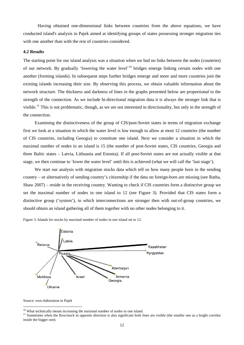Having obtained one-dimensional links between countries from the above equations, we have conducted island's analysis in Pajek aimed at identifying groups of states possessing stronger migration ties with one another than with the rest of countries considered.

### **4.2 Results**

The starting point for our island analysis was a situation when we had no links between the nodes (countries) of our network. By gradually 'lowering the water level'<sup>[10](#page-11-0)</sup> bridges emerge linking certain nodes with one another (forming islands). In subsequent steps further bridges emerge and more and more countries join the existing islands increasing their size. By observing this process, we obtain valuable information about the network structure. The thickness and darkness of lines in the graphs presented below are proportional to the strength of the connection. As we include bi-directional migration data it is always the stronger link that is visible.<sup>[11](#page-11-1)</sup> This is not problematic, though, as we are not interested in directionality, but only in the strength of the connection.

Examining the distinctiveness of the group of CIS/post-Soviet states in terms of migration exchange first we look at a situation in which the water level is low enough to allow at most 12 countries (the number of CIS countries, including Georgia) to constitute one island. Next we consider a situation in which the maximal number of nodes in an island is 15 (the number of post-Soviet states, CIS countries, Georgia and three Baltic states – Latvia, Lithuania and Estonia). If all post-Soviet states are not actually visible at that stage, we then continue to 'lower the water level' until this is achieved (what we will call the 'last stage').

We start our analysis with migration stocks data which tell us how many people born in the sending country – or alternatively of sending country's citizenship if the data on foreign-born are missing (see Ratha, Shaw 2007) – reside in the receiving country. Wanting to check if CIS countries form a distinctive group we set the maximal number of nodes in one island to 12 (see Figure 3). Provided that CIS states form a distinctive group ('system'), in which interconnections are stronger then with out-of-group countries, we should obtain an island gathering all of them together with no other nodes belonging to it.

Figure 3. Islands for stocks by maximal number of nodes in one island set to 12.



Source: own elaboration in Pajek

<span id="page-11-1"></span><span id="page-11-0"></span><sup>&</sup>lt;sup>10</sup> What technically meant increasing the maximal number of nodes in one island.<br><sup>11</sup> Sometimes when the flow/stock in opposite direction is also significant both lines are visible (the smaller one as a bright corridor inside the bigger one).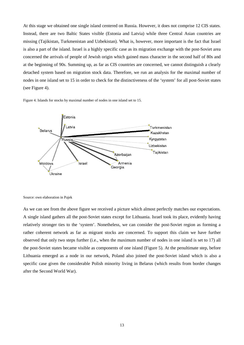At this stage we obtained one single island centered on Russia. However, it does not comprise 12 CIS states. Instead, there are two Baltic States visible (Estonia and Latvia) while three Central Asian countries are missing (Tajikistan, Turkmenistan and Uzbekistan). What is, however, more important is the fact that Israel is also a part of the island. Israel is a highly specific case as its migration exchange with the post-Soviet area concerned the arrivals of people of Jewish origin which gained mass character in the second half of 80s and at the beginning of 90s. Summing up, as far as CIS countries are concerned, we cannot distinguish a clearly detached system based on migration stock data. Therefore, we run an analysis for the maximal number of nodes in one island set to 15 in order to check for the distinctiveness of the 'system' for all post-Soviet states (see Figure 4).

Figure 4. Islands for stocks by maximal number of nodes in one island set to 15.



Source: own elaboration in Pajek

As we can see from the above figure we received a picture which almost perfectly matches our expectations. A single island gathers all the post-Soviet states except for Lithuania. Israel took its place, evidently having relatively stronger ties to the 'system'. Nonetheless, we can consider the post-Soviet region as forming a rather coherent network as far as migrant stocks are concerned. To support this claim we have further observed that only two steps further (i.e., when the maximum number of nodes in one island is set to 17) all the post-Soviet states became visible as components of one island (Figure 5). At the penultimate step, before Lithuania emerged as a node in our network, Poland also joined the post-Soviet island which is also a specific case given the considerable Polish minority living in Belarus (which results from border changes after the Second World War).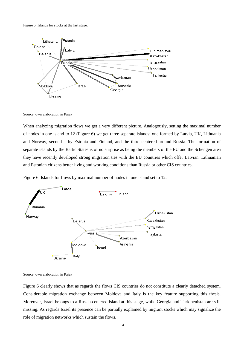Figure 5. Islands for stocks at the last stage.



Source: own elaboration in Pajek

When analyzing migration flows we get a very different picture. Analogously, setting the maximal number of nodes in one island to 12 (Figure 6) we get three separate islands: one formed by Latvia, UK, Lithuania and Norway, second – by Estonia and Finland, and the third centered around Russia. The formation of separate islands by the Baltic States is of no surprise as being the members of the EU and the Schengen area they have recently developed strong migration ties with the EU countries which offer Latvian, Lithuanian and Estonian citizens better living and working conditions than Russia or other CIS countries.

Figure 6. Islands for flows by maximal number of nodes in one island set to 12.



Source: own elaboration in Pajek

Figure 6 clearly shows that as regards the flows CIS countries do not constitute a clearly detached system. Considerable migration exchange between Moldova and Italy is the key feature supporting this thesis. Moreover, Israel belongs to a Russia-centered island at this stage, while Georgia and Turkmenistan are still missing. As regards Israel its presence can be partially explained by migrant stocks which may signalize the role of migration networks which sustain the flows.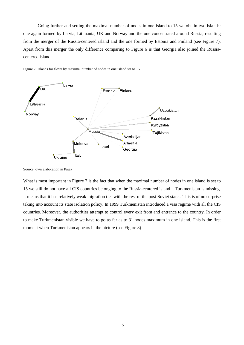Going further and setting the maximal number of nodes in one island to 15 we obtain two islands: one again formed by Latvia, Lithuania, UK and Norway and the one concentrated around Russia, resulting from the merger of the Russia-centered island and the one formed by Estonia and Finland (see Figure 7). Apart from this merger the only difference comparing to Figure 6 is that Georgia also joined the Russiacentered island.



Figure 7. Islands for flows by maximal number of nodes in one island set to 15.

What is most important in Figure 7 is the fact that when the maximal number of nodes in one island is set to 15 we still do not have all CIS countries belonging to the Russia-centered island – Turkmenistan is missing. It means that it has relatively weak migration ties with the rest of the post-Soviet states. This is of no surprise taking into account its state isolation policy. In 1999 Turkmenistan introduced a visa regime with all the CIS countries. Moreover, the authorities attempt to control every exit from and entrance to the country. In order to make Turkmenistan visible we have to go as far as to 31 nodes maximum in one island. This is the first moment when Turkmenistan appears in the picture (see Figure 8).

Source: own elaboration in Pajek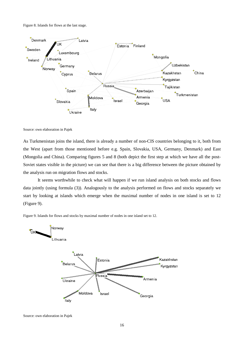Figure 8. Islands for flows at the last stage.



Source: own elaboration in Pajek

As Turkmenistan joins the island, there is already a number of non-CIS countries belonging to it, both from the West (apart from those mentioned before e.g. Spain, Slovakia, USA, Germany, Denmark) and East (Mongolia and China). Comparing figures 5 and 8 (both depict the first step at which we have all the post-Soviet states visible in the picture) we can see that there is a big difference between the picture obtained by the analysis run on migration flows and stocks.

It seems worthwhile to check what will happen if we run island analysis on both stocks and flows data jointly (using formula (3)). Analogously to the analysis performed on flows and stocks separately we start by looking at islands which emerge when the maximal number of nodes in one island is set to 12 (Figure 9).



Figure 9. Islands for flows and stocks by maximal number of nodes in one island set to 12.

Source: own elaboration in Pajek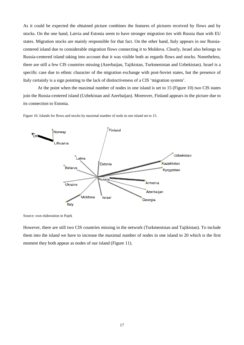As it could be expected the obtained picture combines the features of pictures received by flows and by stocks. On the one hand, Latvia and Estonia seem to have stronger migration ties with Russia than with EU states. Migration stocks are mainly responsible for that fact. On the other hand, Italy appears in our Russiacentered island due to considerable migration flows connecting it to Moldova. Clearly, Israel also belongs to Russia-centered island taking into account that it was visible both as regards flows and stocks. Nonetheless, there are still a few CIS countries missing (Azerbaijan, Tajikistan, Turkmenistan and Uzbekistan). Israel is a specific case due to ethnic character of the migration exchange with post-Soviet states, but the presence of Italy certainly is a sign pointing to the lack of distinctiveness of a CIS 'migration system'.

At the point when the maximal number of nodes in one island is set to 15 (Figure 10) two CIS states join the Russia-centered island (Uzbekistan and Azerbaijan). Moreover, Finland appears in the picture due to its connection to Estonia.



Figure 10. Islands for flows and stocks by maximal number of nods in one island set to 15.

Source: own elaboration in Pajek

However, there are still two CIS countries missing in the network (Turkmenistan and Tajikistan). To include them into the island we have to increase the maximal number of nodes in one island to 20 which is the first moment they both appear as nodes of our island (Figure 11).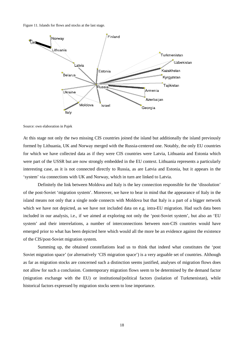Figure 11. Islands for flows and stocks at the last stage.



Source: own elaboration in Pajek

At this stage not only the two missing CIS countries joined the island but additionally the island previously formed by Lithuania, UK and Norway merged with the Russia-centered one. Notably, the only EU countries for which we have collected data as if they were CIS countries were Latvia, Lithuania and Estonia which were part of the USSR but are now strongly embedded in the EU context. Lithuania represents a particularly interesting case, as it is not connected directly to Russia, as are Latvia and Estonia, but it appears in the 'system' via connections with UK and Norway, which in turn are linked to Latvia.

Definitely the link between Moldova and Italy is the key connection responsible for the 'dissolution' of the post-Soviet 'migration system'. Moreover, we have to bear in mind that the appearance of Italy in the island means not only that a single node connects with Moldova but that Italy is a part of a bigger network which we have not depicted, as we have not included data on e.g. intra-EU migration. Had such data been included in our analysis, i.e., if we aimed at exploring not only the 'post-Soviet system', but also an 'EU system' and their interrelations, a number of interconnections between non-CIS countries would have emerged prior to what has been depicted here which would all the more be an evidence against the existence of the CIS/post-Soviet migration system.

Summing up, the obtained constellations lead us to think that indeed what constitutes the 'post Soviet migration space' (or alternatively 'CIS migration space') is a very arguable set of countries. Although as far as migration stocks are concerned such a distinction seems justified, analyses of migration flows does not allow for such a conclusion. Contemporary migration flows seem to be determined by the demand factor (migration exchange with the EU) or institutional/political factors (isolation of Turkmenistan), while historical factors expressed by migration stocks seem to lose importance.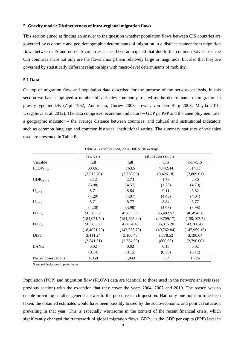#### **5. Gravity model: Distinctiveness of intra-regional migration flows**

This section aimed at finding an answer to the question whether population flows between CIS countries are governed by economic and geo-demographic determinants of migration in a distinct manner from migration flows between CIS and non-CIS countries. It has been anticipated that due to the common Soviet past the CIS countries share not only are the flows among them relatively large in magnitude, but also that they are governed by statistically different relationships with macro-level determinants of mobility.

#### **5.1 Data**

On top of migration flow and population data described for the purpose of the network analysis, in this section we have employed a number of variables commonly treated as the determinants of migration in gravity-type models (Zipf 1962; Andrienko, Guriev 2003; Lewer, van den Berg 2008; Mayda 2010; Uzagalieva et al. 2012). The data comprises: economic indicators – GDP pc PPP and the unemployment rate; a geographic indicator – the average distance between countries; and cultural and institutional indicators such as common language and common historical institutional setting. The summary statistics of variables used are presented in Table B.

|                     |               | Table A. Valiables used, $2004/2007/2010$ average. |                   |               |
|---------------------|---------------|----------------------------------------------------|-------------------|---------------|
|                     | raw data      |                                                    | estimation sample |               |
| Variable            | full          | full                                               | <b>CIS</b>        | non-CIS       |
| $FLOW_{s-r,t}$      | 683.61        | 763.5                                              | 4,442.44          | 514.11        |
|                     | (3,512.70)    | (3,728.65)                                         | (9,426.18)        | (2,809.01)    |
| $GDP_{s/r,t=-1}$    | 3.12          | 2.73                                               | 1.73              | 2.80          |
|                     | (5.08)        | (4.57)                                             | (1.73)            | (4.70)        |
| $U_{s,t=-1}$        | 8.71          | 8.84                                               | 9.11              | 8.82          |
|                     | (4.20)        | (4.07)                                             | (4.43)            | (4.04)        |
| $U_{r,t=-1}$        | 8.71          | 8.77                                               | 8.84              | 8.77          |
|                     | (4.20)        | (3.98)                                             | (4.03)            | (3.98)        |
| $POP_{s,t}$         | 50,785.30     | 45,853.90                                          | 36,402.57         | 46,494.58     |
|                     | (184, 071.70) | (154, 495.80)                                      | (49,709.17)       | (159, 107.7)  |
| $POP_{r,t}$         | 50,785.30     | 42,864.46                                          | 36,315.20         | 43,308.42     |
|                     | (18,4071.70)  | (143, 736.70)                                      | (49,762.84)       | (147, 959.10) |
| <b>DIST</b>         | 3,411.24      | 3,100.43                                           | 1,778.52          | 3,190.04      |
|                     | (2,541.31)    | (2.734.95)                                         | (800.69)          | (2,796.00)    |
| <b>LANG</b>         | 0.02          | 0.02                                               | 0.15              | 0.02          |
|                     | (0.14)        | (0.15)                                             | (0.36)            | (0.12)        |
| No. of observations | 4,050         | 1,843                                              | 117               | 1,726         |

Table A. Variables used, 2004/2007/2010 average.

Standard deviations in parentheses.

Population (POP) and migration flow (FLOW) data are identical to those used in the network analysis (see: previous section) with the exception that they cover the years 2004, 2007 and 2010. The reason was to enable providing a rather general answer to the posed research question. Had only one point in time been taken, the obtained estimates would have been possibly biased by the socio-economic and political situation prevailing in that year. This is especially worrisome in the context of the recent financial crisis, which significantly changed the framework of global migration flows. GDP $_{t-1}$  is the GDP per capita (PPP) level in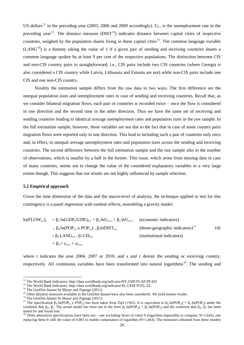US dollars<sup>[12](#page-19-0)</sup> in the preceding year (2003, 2006 and 2009 accordingly).  $U_{t-1}$  is the unemployment rate in the preceding year<sup>13</sup>. The distance measure ( $DIST^{14}$  $DIST^{14}$  $DIST^{14}$ ) indicates distance between capital cities of respective countries, weighed by the population shares living in these capital cities<sup>15</sup>. The common language variable  $(LANG<sup>16</sup>)$  $(LANG<sup>16</sup>)$  $(LANG<sup>16</sup>)$  is a dummy taking the value of 1 if a given pair of sending and receiving countries shares a common language spoken by at least 9 per cent of the respective populations. The distinction between CIS and non-CIS country pairs in straightforward, i.e., CIS pairs include two CIS countries (where Georgia is also considered a CIS country while Latvia, Lithuania and Estonia are not) while non-CIS pairs include one CIS and one non-CIS country.

Notably the estimation sample differs from the raw data in two ways. The first difference are the unequal population sizes and unemployment rates in case of sending and receiving countries. Recall that, as we consider bilateral migration flows, each pair of countries is recorded twice – once the flow is considered in one direction and the second time in the other direction. Thus we have the same set of receiving and sending countries leading to identical average unemployment rates and population sizes in the raw sample. In the full estimation sample, however, these variables are not due to the fact that in case of some country pairs migration flows were reported only in one direction. This lead to including such a pair of countries only once and, in effect, to unequal average unemployment rates and population sizes across the sending and receiving countries. The second difference between the full estimation sample and the raw sample also in the number of observations, which is smaller by a half in the former. This issue, which arose from missing data in case of many countries, seems not to change the value of the considered explanatory variables to a very large extent though. This suggests that our results are not highly influenced by sample selection.

#### **5.2 Empirical approach**

Given the time dimension of the data and the macro-level of analysis, the technique applied to test for this contingency is a panel regression with random effects, resembling a gravity model:

$$
\ln(\text{FLOW}_{s-r})_{t} = \beta_{1} \ln(\text{GDP}_{s}/\text{GDP}_{r})_{t-1} + \beta_{2} \ln\text{U}_{s,t-1} + \beta_{3} \ln\text{U}_{r,t-1} \quad \text{(economic indicators)} \n+ \beta_{4} \ln(\text{POP}_{s,t} \times \text{POP}_{r,t}) + \beta_{5} \ln\text{DIST}_{s-r} \quad \text{(demo-geographic indicators)}^{17} \n+ \beta_{6} \text{LANG}_{s-r} + \beta_{7} \text{CIS}_{s-r} \quad \text{(institutional indicators)} \n+ \beta_{0} + \varepsilon_{s-r,t} + u_{s-r,t}
$$
\n(4)

where t indicates the year 2004, 2007 or 2010, and s and r denote the sending or receiving country, respectively. All continuous variables have been transformed into natural logarithms<sup>[18](#page-19-6)</sup>. The sending and

<span id="page-19-2"></span>

<span id="page-19-3"></span>

<span id="page-19-5"></span><span id="page-19-4"></span>

<span id="page-19-1"></span><span id="page-19-0"></span><sup>&</sup>lt;sup>12</sup> The World Bank Indicators[: http://data.worldbank.org/indicator/NY.GDP.PCAP.PP.KD](http://data.worldbank.org/indicator/NY.GDP.PCAP.PP.KD)<br><sup>13</sup> The World Bank Indicators: http://data.worldbank.org/indicator/SL.UEM.TOTL.ZS<br><sup>14</sup> The GeoDist dataset by Mayer and Zignago (2011) condition that  $\beta_{4} = \beta_5$ . The actual model has been run in the form  $\beta_4 \ln(POP_{st}) + \beta_5 \ln(POP_{rt})$  and the condition that  $\beta_{4} = \beta_5$  has been tested for and found true.

<span id="page-19-6"></span><sup>&</sup>lt;sup>18</sup> Three alternative specifications have been run – one excluding flows of value 0 (logarithm impossible to compute, N=1,645), one replacing these 0 with the value of 0.001 to enable computation of logarithm  $(N=1,843)$ . The estimators obtained from these models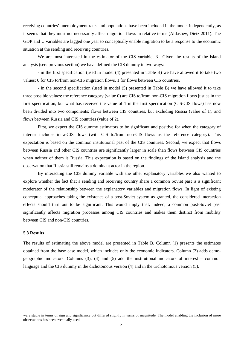receiving countries' unemployment rates and populations have been included in the model independently, as it seems that they must not necessarily affect migration flows in relative terms (Aldashev, Dietz 2011). The GDP and U variables are lagged one year to conceptually enable migration to be a response to the economic situation at the sending and receiving countries.

We are most interested in the estimator of the CIS variable,  $\beta_{8}$ . Given the results of the island analysis (see: previous section) we have defined the CIS dummy in two ways:

- in the first specification (used in model (4) presented in Table B) we have allowed it to take two values: 0 for CIS to/from non-CIS migration flows, 1 for flows between CIS countries.

- in the second specification (used in model (5) presented in Table B) we have allowed it to take three possible values: the reference category (value 0) are CIS to/from non-CIS migration flows just as in the first specification, but what has received the value of 1 in the first specification (CIS-CIS flows) has now been divided into two components: flows between CIS countries, but excluding Russia (value of 1), and flows between Russia and CIS countries (value of 2).

First, we expect the CIS dummy estimators to be significant and positive for when the category of interest includes intra-CIS flows (with CIS to/from non-CIS flows as the reference category). This expectation is based on the common institutional past of the CIS countries. Second, we expect that flows between Russia and other CIS countries are significantly larger in scale than flows between CIS countries when neither of them is Russia. This expectation is based on the findings of the island analysis and the observation that Russia still remains a dominant actor in the region.

By interacting the CIS dummy variable with the other explanatory variables we also wanted to explore whether the fact that a sending and receiving country share a common Soviet past is a significant moderator of the relationship between the explanatory variables and migration flows. In light of existing conceptual approaches taking the existence of a post-Soviet system as granted, the considered interaction effects should turn out to be significant. This would imply that, indeed, a common post-Soviet past significantly affects migration processes among CIS countries and makes them distinct from mobility between CIS and non-CIS countries.

### **5.3 Results**

The results of estimating the above model are presented in Table B. Column (1) presents the estimates obtained from the base case model, which includes only the economic indicators. Column (2) adds demogeographic indicators. Columns  $(3)$ ,  $(4)$  and  $(5)$  add the institutional indicators of interest – common language and the CIS dummy in the dichotomous version (4) and in the trichotomous version (5).

were stable in terms of sign and significance but differed slightly in terms of magnitude. The model enabling the inclusion of more observations has been eventually used.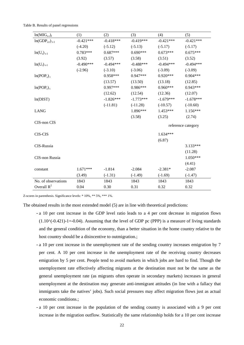| $ln(MIG_{s-r})_t$                  | (1)         | (2)         | (3)         | (4)         | (5)                |
|------------------------------------|-------------|-------------|-------------|-------------|--------------------|
| $ln(GDPs/r)_{t-1}$                 | $-0.421***$ | $-0.418***$ | $-0.419***$ | $-0.421***$ | $-0.421***$        |
|                                    | $(-4.20)$   | $(-5.12)$   | $(-5.13)$   | $(-5.17)$   | $(-5.17)$          |
| $ln(Us)t-1$                        | $0.783***$  | $0.687***$  | $0.690***$  | $0.673***$  | $0.675***$         |
|                                    | (3.92)      | (3.57)      | (3.58)      | (3.51)      | (3.52)             |
| $ln(U_r)_{t-1}$                    | $-0.490***$ | $-0.494***$ | $-0.488***$ | $-0.494***$ | $-0.494***$        |
|                                    | $(-2.96)$   | $(-3.10)$   | $(-3.06)$   | $(-3.09)$   | $(-3.09)$          |
| ln(POP <sub>s</sub> ) <sub>t</sub> |             | $0.958***$  | $0.947***$  | $0.920***$  | $0.904***$         |
|                                    |             | (13.57)     | (13.50)     | (13.18)     | (12.85)            |
| $ln(POP_r)_t$                      |             | $0.997***$  | $0.986***$  | $0.960***$  | $0.943***$         |
|                                    |             | (12.62)     | (12.54)     | (12.36)     | (12.07)            |
| ln(DIST)                           |             | $-1.826***$ | $-1.773***$ | $-1.679***$ | $-1.678***$        |
|                                    |             | $(-11.81)$  | $(-11.28)$  | $(-10.57)$  | $(-10.60)$         |
| <b>LANG</b>                        |             |             | 1.896***    | $1.453***$  | $1.156***$         |
|                                    |             |             | (3.58)      | (3.25)      | (2.74)             |
| CIS-non CIS                        |             |             |             |             | reference category |
| <b>CIS-CIS</b>                     |             |             |             | $1.634***$  |                    |
|                                    |             |             |             | (6.87)      |                    |
| CIS-Russia                         |             |             |             |             | $3.133***$         |
|                                    |             |             |             |             | (11.28)            |
| CIS-non Russia                     |             |             |             |             | $1.050***$         |
|                                    |             |             |             |             | (4.41)             |
| constant                           | $1.671***$  | $-1.814$    | $-2.084$    | $-2.381*$   | $-2.087$           |
|                                    | (3.49)      | $(-1.31)$   | $(-1.49)$   | $(-1.69)$   | $(-1.47)$          |
| No. of observations                | 1843        | 1843        | 1843        | 1843        | 1843               |
| Overall $R^2$                      | 0.04        | 0.30        | 0.31        | 0.32        | 0.32               |

Table B. Results of panel regressions

Z-scores in parenthesis. Significance levels: \* 10%, \*\* 5%, \*\*\* 1%.

The obtained results in the most extended model (5) are in line with theoretical predictions:

- a 10 per cent increase in the GDP level ratio leads to a 4 per cent decrease in migration flows  $(1.10^{\circ}(-0.421)-1=0.04)$ . Assuming that the level of GDP pc (PPP) is a measure of living standards and the general condition of the economy, than a better situation in the home country relative to the host country should be a disincentive to outmigration.;
- a 10 per cent increase in the unemployment rate of the sending country increases emigration by 7 per cent. A 10 per cent increase in the unemployment rate of the receiving country decreases emigration by 5 per cent. People tend to avoid markets in which jobs are hard to find. Though the unemployment rate effectively affecting migrants at the destination must not be the same as the general unemployment rate (as migrants often operate in secondary markets) increases in general unemployment at the destination may generate anti-immigrant attitudes (in line with a fallacy that immigrants take the natives' jobs). Such social pressures may affect migration flows just as actual economic conditions.;
- a 10 per cent increase in the population of the sending country is associated with a 9 per cent increase in the migration outflow. Statistically the same relationship holds for a 10 per cent increase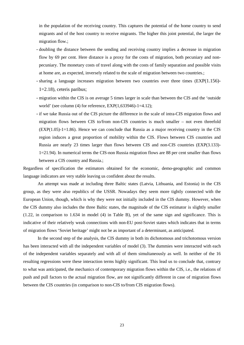in the population of the receiving country. This captures the potential of the home country to send migrants and of the host country to receive migrants. The higher this joint potential, the larger the migration flow.;

- doubling the distance between the sending and receiving country implies a decrease in migration flow by 69 per cent. Here distance is a proxy for the costs of migration, both pecuniary and nonpecuniary. The monetary costs of travel along with the costs of family separation and possible visits at home are, as expected, inversely related to the scale of migration between two countries.;
- sharing a language increases migration between two countries over three times (EXP(1.156)- 1=2.18), ceteris paribus;
- migration within the CIS is on average 5 times larger in scale than between the CIS and the 'outside world' (see column (4) for reference, EXP(1,633946)-1=4.12);
- if we take Russia out of the CIS picture the difference in the scale of intra-CIS migration flows and migration flows between CIS to/from non-CIS countries is much smaller – not even threefold  $(EXP(1.05)-1=1.86)$ . Hence we can conclude that Russia as a major receiving country in the CIS region induces a great proportion of mobility within the CIS. Flows between CIS countries and Russia are nearly 23 times larger than flows between CIS and non-CIS countries (EXP(3.133)- 1=21.94). In numerical terms the CIS-non Russia migration flows are 88 per cent smaller than flows between a CIS country and Russia.;

Regardless of specification the estimators obtained for the economic, demo-geographic and common language indicators are very stable leaving us confident about the results.

An attempt was made at including three Baltic states (Latvia, Lithuania, and Estonia) in the CIS group, as they were also republics of the USSR. Nowadays they seem more tightly connected with the European Union, though, which is why they were not initially included in the CIS dummy. However, when the CIS dummy also includes the three Baltic states, the magnitude of the CIS estimator is slightly smaller (1.22, in comparison to 1.634 in model (4) in Table B), yet of the same sign and significance. This is indicative of their relatively weak connections with non-EU post-Soviet states which indicates that in terms of migration flows 'Soviet heritage' might not be as important of a determinant, as anticipated.

In the second step of the analysis, the CIS dummy in both its dichotomous and trichotomous version has been interacted with all the independent variables of model (3). The dummies were interacted with each of the independent variables separately and with all of them simultaneously as well. In neither of the 16 resulting regressions were these interaction terms highly significant. This lead us to conclude that, contrary to what was anticipated, the mechanics of contemporary migration flows within the CIS, i.e., the relations of push and pull factors to the actual migration flow, are not significantly different in case of migration flows between the CIS countries (in comparison to non-CIS to/from CIS migration flows).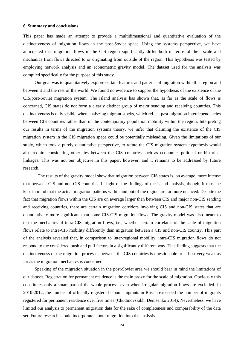#### **6. Summary and conclusions**

This paper has made an attempt to provide a multidimensional and quantitative evaluation of the distinctiveness of migration flows in the post-Soviet space. Using the systems perspective, we have anticipated that migration flows in the CIS region significantly differ both in terms of their scale and mechanics from flows directed to or originating from outside of the region. This hypothesis was tested by employing network analysis and an econometric gravity model. The dataset used for the analysis was compiled specifically for the purpose of this study.

Our goal was to quantitatively explore certain features and patterns of migration within this region and between it and the rest of the world. We found no evidence to support the hypothesis of the existence of the CIS/post-Soviet migration system. The island analysis has shown that, as far as the scale of flows is concerned, CIS states do not form a clearly distinct group of major sending and receiving countries. This distinctiveness is only visible when analyzing migrant stocks, which reflect past migration interdependencies between CIS countries rather than of the contemporary population mobility within the region. Interpreting our results in terms of the migration systems theory, we infer that claiming the existence of the CIS migration system in the CIS migration space could be potentially misleading. Given the limitations of our study, which took a purely quantitative perspective, to refute the CIS migration system hypothesis would also require considering other ties between the CIS countries such as economic, political or historical linkages. This was not our objective in this paper, however, and it remains to be addressed by future research.

The results of the gravity model show that migration between CIS states is, on average, more intense that between CIS and non-CIS countries. In light of the findings of the island analysis, though, it must be kept in mind that the actual migration patterns within and out of the region are far more nuanced. Despite the fact that migration flows within the CIS are on average larger then between CIS and major non-CIS sending and receiving countries, there are certain migration corridors involving CIS and non-CIS states that are quantitatively more significant than some CIS-CIS migration flows. The gravity model was also meant to test the mechanics of intra-CIS migration flows, i.e., whether certain correlates of the scale of migration flows relate to intra-CIS mobility differently than migration between a CIS and non-CIS country. This part of the analysis revealed that, in comparison to inter-regional mobility, intra-CIS migration flows do not respond to the considered push and pull factors in a significantly different way. This finding suggests that the distinctiveness of the migration processes between the CIS countries is questionable or at best very weak as far as the migration mechanics is concerned.

Speaking of the migration situation in the post-Soviet area we should bear in mind the limitations of our dataset. Registration for permanent residence is the main proxy for the scale of migration. Obviously this constitutes only a smart part of the whole process, even when irregular migration flows are excluded. In 2010-2012, the number of officially registered labour migrants in Russia exceeded the number of migrants registered for permanent residence over five times (Chudinovskikh, Denisenko 2014). Nevertheless, we have limited our analysis to permanent migration data for the sake of completeness and comparability of the data set. Future research should incorporate labour migration into the analysis.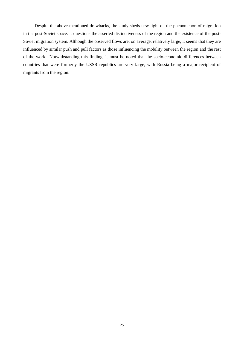Despite the above-mentioned drawbacks, the study sheds new light on the phenomenon of migration in the post-Soviet space. It questions the asserted distinctiveness of the region and the existence of the post-Soviet migration system. Although the observed flows are, on average, relatively large, it seems that they are influenced by similar push and pull factors as those influencing the mobility between the region and the rest of the world. Notwithstanding this finding, it must be noted that the socio-economic differences between countries that were formerly the USSR republics are very large, with Russia being a major recipient of migrants from the region.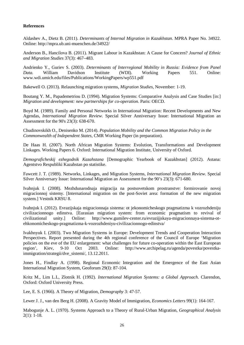### **References**

Aldashev A., Dietz B. (2011). *Determinants of Internal Migration in Kazakhstan*. MPRA Paper No. 34922. Online:<http://mpra.ub.uni-muenchen.de/34922/>

Anderson B., Hancilova B. (2011). Migrant Labour in Kazakhstan: A Cause for Concern? *Journal of Ethnic and Migration Studies* 37(3): 467–483.

Andrienko Y., Guriev S. (2003). *Determinants of Interregional Mobility in Russia: Evidence from Panel Data.* William Davidson Institute (WDI). Working Papers 551. Online: [www.wdi.umich.edu/files/Publications/WorkingPapers/wp551.pdf](http://www.wdi.umich.edu/files/Publications/WorkingPapers/wp551.pdf)

Bakewell O. (2013). Relaunching migration systems, *Migration Studies,* November: 1-19.

Boutang Y. M., Papademetriou D. (1994). Migration Systems: Comparative Analysis and Case Studies [in:] *Migration and development: new partnerships for co-operation*. Paris: OECD.

Boyd M. (1989). Family and Personal Networks in International Migration: Recent Developments and New Agendas, *International Migration Review*. Special Silver Anniversary Issue: International Migration an Assessment for the 90's 23(3): 638-670.

Chudinovskikh O., Denisenko M. (2014). *Population Mobility and the Common Migration Policy in the Commonwealth of Independent States*, CMR Working Paper (in preparation).

De Haas H. (2007). North African Migration Systems: Evolution, Transformations and Development Linkages. Working Papers 6. Oxford: International Migration Institute, University of Oxford.

*Demograficheskij ezhegodnik Kazahstana* [Demographic Yearbook of Kazakhstan] (2012). Astana: Agentstvo Respubliki Kazahstan po statistike.

Fawcett J. T. (1989). Networks, Linkages, and Migration Systems, *International Migration Review*. Special Silver Anniversary Issue: International Migration an Assessment for the 90's 23(3): 671-680.

Ivahnjuk I. (2008). Mezhdunarodnaja migracija na postsovetskom prostranstve: formirovanie novoj migracionnoj sistemy. [International migration on the post-Soviet area: formation of the new migration system.] Vestnik KRSU 8.

Ivahnjuk I. (2012). Evrazijskaja migracionnaja sistema: ot jekonomicheskogo pragmatizma k vozrozhdeniju civilizacionnogo edinstva. [Eurasian migration system: from economic pragmatism to revival of civilizational unity.] Online: http://www.gumilev-center.ru/evrazijjskaya-migracionnaya-sistema-otehkonomicheskogo-pragmatizma-k-vozrozhdeniyu-civilizacionnogo-edinstva/

Ivakhnyuk I. (2003). Two Migration Systems in Europe: Development Trends and Cooperation Interaction Perspectives. Report presented during the 4th regional conference of the Council of Europe 'Migration policies on the eve of the EU enlargement: what challenges for future co-operation within the East European region', Kiev, 9-10 Oct 2003. Online: [http://www.archipelag.ru/agenda/povestka/povestka](http://www.archipelag.ru/agenda/povestka/povestka-immigration/strategii/dve_sistemi/)[immigration/strategii/dve\\_sistemi/,](http://www.archipelag.ru/agenda/povestka/povestka-immigration/strategii/dve_sistemi/) 13.12.2011.

Jones H., Findlay A. (1998). Regional Economic Integration and the Emergence of the East Asian International Migration System, Geoforum 29(I): 87-104.

Kritz M., Lim L.L, Zlotnik H. (1992). *International Migration Systems: a Global Approach*. Clarendon, Oxford: Oxford University Press.

Lee, E. S. (1966). A Theory of Migration, *Demography* 3: 47-57.

Lewer J. J., van den Berg H. (2008). A Gravity Model of Immigration, *Economics Letters* 99(1): 164-167.

Mabogunje A. L. (1970). Systems Approach to a Theory of Rural-Urban Migration, *Geographical Analysis* 2(1): 1-18.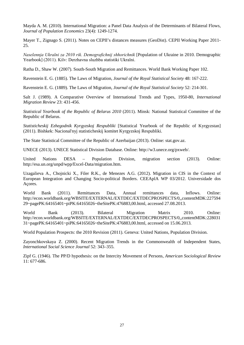Mayda A. M. (2010). International Migration: a Panel Data Analysis of the Determinants of Bilateral Flows, *Journal of Population Economics* 23(4): 1249-1274.

Mayer T., Zignago S. (2011). Notes on CEPII's distances measures (GeoDist). CEPII Working Paper 2011- 25.

*Naselennja Ukraїni za 2010 rіk. Demografіchnij shhorіchnik* [Population of Ukraine in 2010. Demographic Yearbook] (2011). Kiїv: Derzhavna sluzhba statistiki Ukraїni.

Ratha D., Shaw W. (2007). South-South Migration and Remittances. World Bank Working Paper 102.

Ravenstein E. G. (1885). The Laws of Migration, *Journal of the Royal Statistical Society* 48: 167-222.

Ravenstein E. G. (1889). The Laws of Migration, *Journal of the Royal Statistical Society* 52: 214-301.

Salt J. (1989). A Comparative Overview of International Trends and Types, 1950-80, *International Migration Review* 23: 431-456.

*Statistical Yearbook of the Republic of Belarus 2010* (2011). Minsk: National Statistical Committee of the Republic of Belarus.

*Statisticheskij Ezhegodnik Kyrgyzskoj Respubliki* [Statistical Yearbook of the Republic of Kyrgyzstan] (2011). Bishkek: Nacional'nyj statisticheskij komitet Kyrgyzskoj Respubliki.

The State Statistical Committee of the Republic of Azerbaijan (2013). Online: stat.gov.az.

UNECE (2013). UNECE Statistical Division Database. Online: http://w3.unece.org/pxweb/.

United Nations DESA – Population Division, migration section (2013). Online: http://esa.un.org/unpd/wpp/Excel-Data/migration.htm.

Uzagalieva A., Chojnicki X., Filer R.K., de Menezes A.G. (2012). Migration in CIS in the Context of European Integration and Changing Socio-political Borders. CEEAplA WP 03/2012. Universidade dos Açores.

World Bank (2011). Remittances Data, Annual remittances data, Inflows. Online: [http://econ.worldbank.org/WBSITE/EXTERNAL/EXTDEC/EXTDECPROSPECTS/0,,contentMDK:227594](http://econ.worldbank.org/WBSITE/EXTERNAL/EXTDEC/EXTDECPROSPECTS/0,,contentMDK:22759429~pagePK:64165401~piPK:64165026~theSitePK:476883,00.html) [29~pagePK:64165401~piPK:64165026~theSitePK:476883,00.html,](http://econ.worldbank.org/WBSITE/EXTERNAL/EXTDEC/EXTDECPROSPECTS/0,,contentMDK:22759429~pagePK:64165401~piPK:64165026~theSitePK:476883,00.html) accessed 27.08.2013.

World Bank (2013). Bilateral Migration Matrix 2010. Online: http://econ.worldbank.org/WBSITE/EXTERNAL/EXTDEC/EXTDECPROSPECTS/0,,contentMDK:228031 31~pagePK:64165401~piPK:64165026~theSitePK:476883,00.html, accessed on 15.06.2013.

World Population Prospects: the 2010 Revision (2011). Geneva: United Nations, Population Division.

Zayonchkovskaya Z. (2000). Recent Migration Trends in the Commonwealth of Independent States, *International Social Science Journal* 52: 343–355.

Zipf G. (1946). The PP/D hypothesis: on the Intercity Movement of Persons, *American Sociological Review* 11: 677-686.